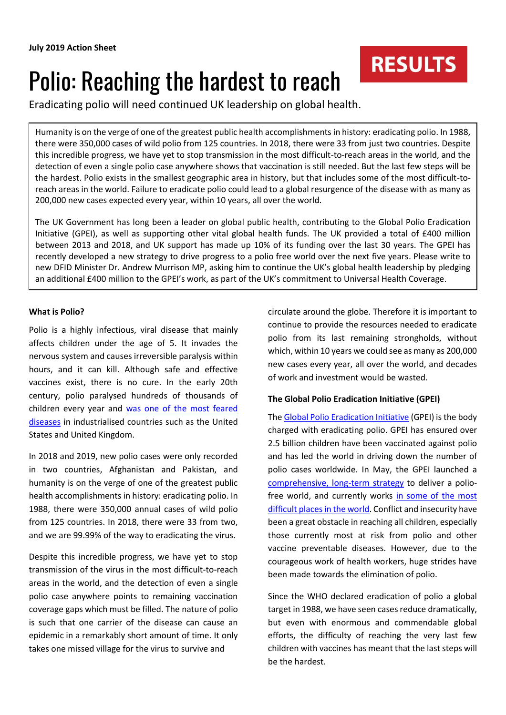# Polio: Reaching the hardest to reach

Eradicating polio will need continued UK leadership on global health.

Humanity is on the verge of one of the greatest public health accomplishments in history: eradicating polio. In 1988, there were 350,000 cases of wild polio from 125 countries. In 2018, there were 33 from just two countries. Despite this incredible progress, we have yet to stop transmission in the most difficult-to-reach areas in the world, and the detection of even a single polio case anywhere shows that vaccination is still needed. But the last few steps will be the hardest. Polio exists in the smallest geographic area in history, but that includes some of the most difficult-toreach areas in the world. Failure to eradicate polio could lead to a global resurgence of the disease with as many as 200,000 new cases expected every year, within 10 years, all over the world.

The UK Government has long been a leader on global public health, contributing to the Global Polio Eradication Initiative (GPEI), as well as supporting other vital global health funds. The UK provided a total of £400 million between 2013 and 2018, and UK support has made up 10% of its funding over the last 30 years. The GPEI has recently developed a new strategy to drive progress to a polio free world over the next five years. Please write to new DFID Minister Dr. Andrew Murrison MP, asking him to continue the UK's global health leadership by pledging an additional £400 million to the GPEI's work, as part of the UK's commitment to Universal Health Coverage.

### **What is Polio?**

Polio is a highly infectious, viral disease that mainly affects children under the age of 5. It invades the nervous system and causes irreversible paralysis within hours, and it can kill. Although safe and effective vaccines exist, there is no cure. In the early 20th century, polio paralysed hundreds of thousands of children every year and [was one of the most feared](https://www.independent.co.uk/life-style/health-and-families/health-news/polio-history-story-then-and-now-pictures-iron-lung-vaccine-diseases-medicine-jonas-salk-rotary-a7580456.html)  [diseases](https://www.independent.co.uk/life-style/health-and-families/health-news/polio-history-story-then-and-now-pictures-iron-lung-vaccine-diseases-medicine-jonas-salk-rotary-a7580456.html) in industrialised countries such as the United States and United Kingdom.

In 2018 and 2019, new polio cases were only recorded in two countries, Afghanistan and Pakistan, and humanity is on the verge of one of the greatest public health accomplishments in history: eradicating polio. In 1988, there were 350,000 annual cases of wild polio from 125 countries. In 2018, there were 33 from two, and we are 99.99% of the way to eradicating the virus.

Despite this incredible progress, we have yet to stop transmission of the virus in the most difficult-to-reach areas in the world, and the detection of even a single polio case anywhere points to remaining vaccination coverage gaps which must be filled. The nature of polio is such that one carrier of the disease can cause an epidemic in a remarkably short amount of time. It only takes one missed village for the virus to survive and

circulate around the globe. Therefore it is important to continue to provide the resources needed to eradicate polio from its last remaining strongholds, without which, within 10 years we could see as many as 200,000 new cases every year, all over the world, and decades of work and investment would be wasted.

**RESULTS** 

## **The Global Polio Eradication Initiative (GPEI)**

Th[e Global Polio Eradication Initiative](http://polioeradication.org/who-we-are/) (GPEI) is the body charged with eradicating polio. GPEI has ensured over 2.5 billion children have been vaccinated against polio and has led the world in driving down the number of polio cases worldwide. In May, the GPEI launched a [comprehensive, long-term strategy](http://polioeradication.org/news-post/the-polio-endgame-strategy-2019-2023/) to deliver a poliofree world, and currently works in some of the most [difficult places in the world.](https://www.bbc.co.uk/news/extra/AETmcEnXRC/polio_the_final_battle) Conflict and insecurity have been a great obstacle in reaching all children, especially those currently most at risk from polio and other vaccine preventable diseases. However, due to the courageous work of health workers, huge strides have been made towards the elimination of polio.

Since the WHO declared eradication of polio a global target in 1988, we have seen cases reduce dramatically, but even with enormous and commendable global efforts, the difficulty of reaching the very last few children with vaccines has meant that the last steps will be the hardest.